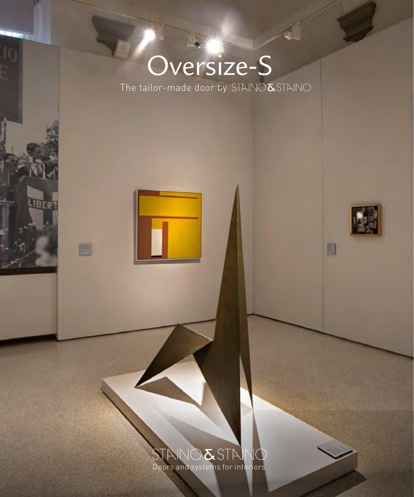# Oversize-S

**JBERT** 

E

The tailor-made door by STAINO  $\&$  STAINO



Đ

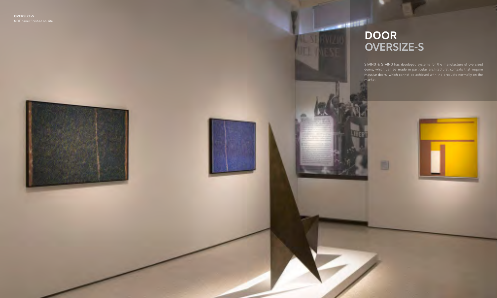



STAINO & STAINO has developed systems for the manufacture of oversized doors, which can be made in particular architectural contexts that require massive doors, which cannot be achieved with the products normally on the market.



#### **DOOR OVERSIZE-S**

**PERSONAL** 

iVIZII.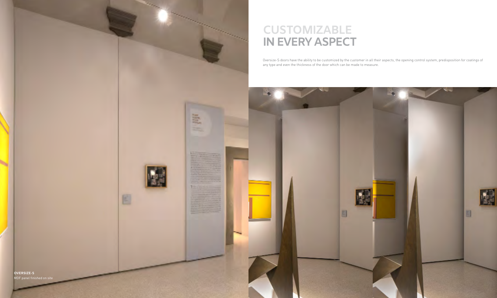



Oversize-S doors have the ability to be customized by the customer in all their aspects, the opening control system, predisposition for coatings of

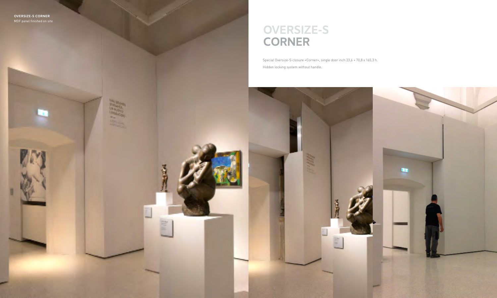## **OVERSIZE-S CORNER**

Special Oversize-S closure «Corner», single door inch 23,6 + 70,8 x 165,3 h. Hidden locking system without handle.

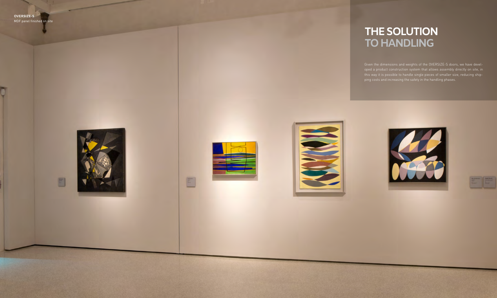



E



Given the dimensions and weights of the OVERSIZE-S doors, we have devel this way it is possible to handle single pieces of smaller size, reducing ship ping costs and increasing the safety in the handling phases.



| <b>March McGrant</b><br>-<br>- | <b>The Column Street</b> |
|--------------------------------|--------------------------|
| ٠                              | ٠                        |
| ٠                              |                          |
|                                | -                        |

#### **THE SOLUTION TO HANDLING**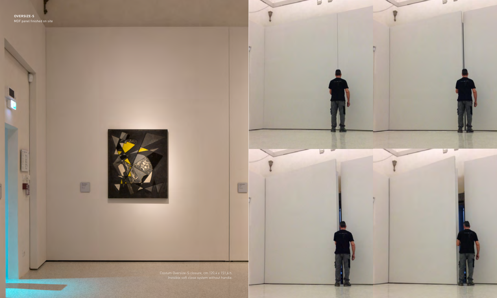Costum Oversize-S closure, cm 120,4 x 151,6 h. Invisible soft close system without handle.





E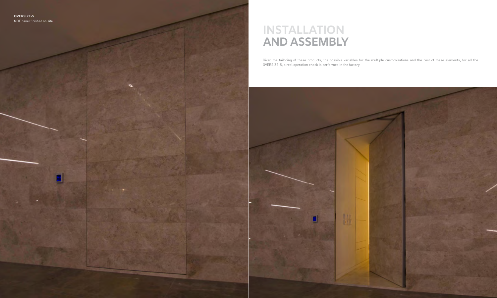## **INSTALLATION AND ASSEMBLY**

Given the tailoring of these products, the possible variables for the multiple customizations and the cost of these elements, for all the OVERSIZE-S, a real operation check is performed in the factory.

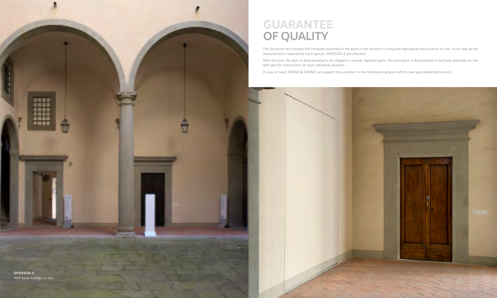**OVERSIZE-S** MDF panel finished on site

**BR88** 8888

₩

地震車道

# **GUARANTEE OF QUALITY**

The functional test involves the complete assembly of the doors in the factory in a wing that reproduces the situation on site, in this way all the characteristics required for each specific OVERSIZE-S are checked.

After this test, the door is disassembled to be shipped in several separate parts, the procedure is documented to facilitate assembly on site



with specific instructions for each individual situation.

In case of need, STAINO & STAINO can support the customer in the installation phases with its own specialized technicians.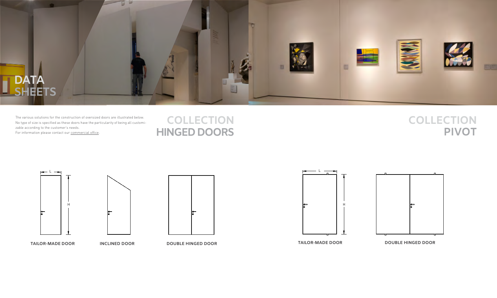









The various solutions for the construction of oversized doors are illustrated below. No type of size is specified as these doors have the particularity of being all customizable according to the customer's needs.

For information please contact our c[ommercial](mailto:commerciale%40stainoestaino.it?subject=Richiesta%20informazioni%20da%20PDF%20Oversize) office.

#### **COLLECTION HINGED DOORS**

**TAILOR-MADE DOOR INCLINED DOOR DOUBLE HINGED DOOR**

## **COLLECTION PIVOT**









#### **TAILOR-MADE DOOR DOUBLE HINGED DOOR**